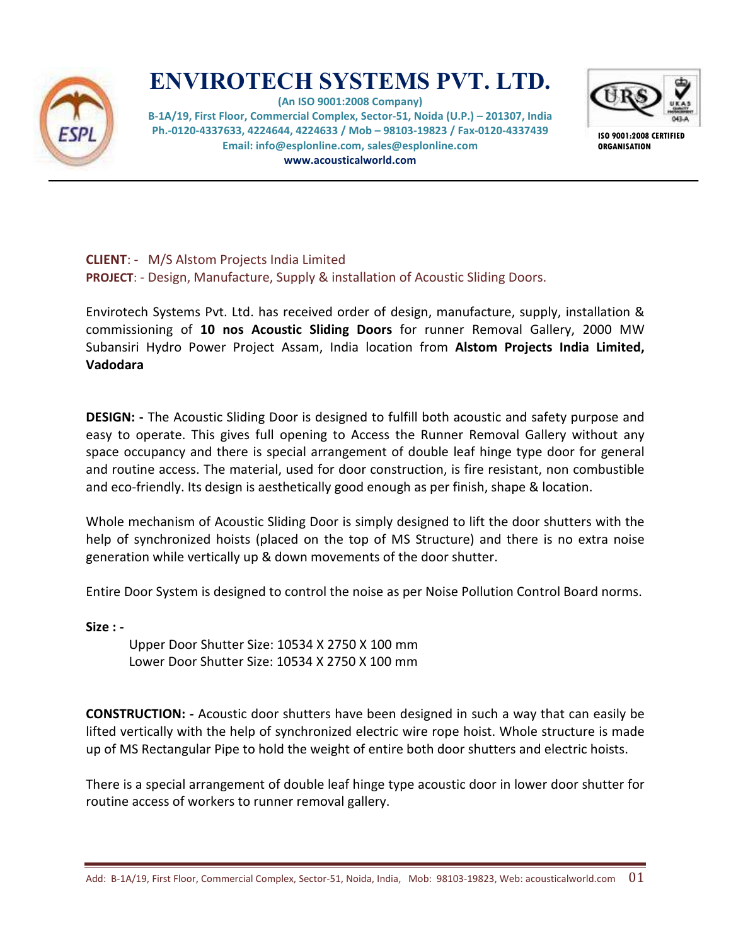

# **ENVIROTECH SYSTEMS PVT. LTD.**

**(An ISO 9001:2008 Company) B-1A/19, First Floor, Commercial Complex, Sector-51, Noida (U.P.) – 201307, India Ph.-0120-4337633, 4224644, 4224633 / Mob – 98103-19823 / Fax-0120-4337439 Email: info@esplonline.com, sales@esplonline.com www.acousticalworld.com** 



**ISO 9001:2008 CERTIFIED ORGANISATION** 

**CLIENT**: - M/S Alstom Projects India Limited **PROJECT**: - Design, Manufacture, Supply & installation of Acoustic Sliding Doors.

Envirotech Systems Pvt. Ltd. has received order of design, manufacture, supply, installation & commissioning of **10 nos Acoustic Sliding Doors** for runner Removal Gallery, 2000 MW Subansiri Hydro Power Project Assam, India location from **Alstom Projects India Limited, Vadodara** 

**DESIGN: -** The Acoustic Sliding Door is designed to fulfill both acoustic and safety purpose and easy to operate. This gives full opening to Access the Runner Removal Gallery without any space occupancy and there is special arrangement of double leaf hinge type door for general and routine access. The material, used for door construction, is fire resistant, non combustible and eco-friendly. Its design is aesthetically good enough as per finish, shape & location.

Whole mechanism of Acoustic Sliding Door is simply designed to lift the door shutters with the help of synchronized hoists (placed on the top of MS Structure) and there is no extra noise generation while vertically up & down movements of the door shutter.

Entire Door System is designed to control the noise as per Noise Pollution Control Board norms.

**Size : -** 

Upper Door Shutter Size: 10534 X 2750 X 100 mm Lower Door Shutter Size: 10534 X 2750 X 100 mm

**CONSTRUCTION: -** Acoustic door shutters have been designed in such a way that can easily be lifted vertically with the help of synchronized electric wire rope hoist. Whole structure is made up of MS Rectangular Pipe to hold the weight of entire both door shutters and electric hoists.

There is a special arrangement of double leaf hinge type acoustic door in lower door shutter for routine access of workers to runner removal gallery.